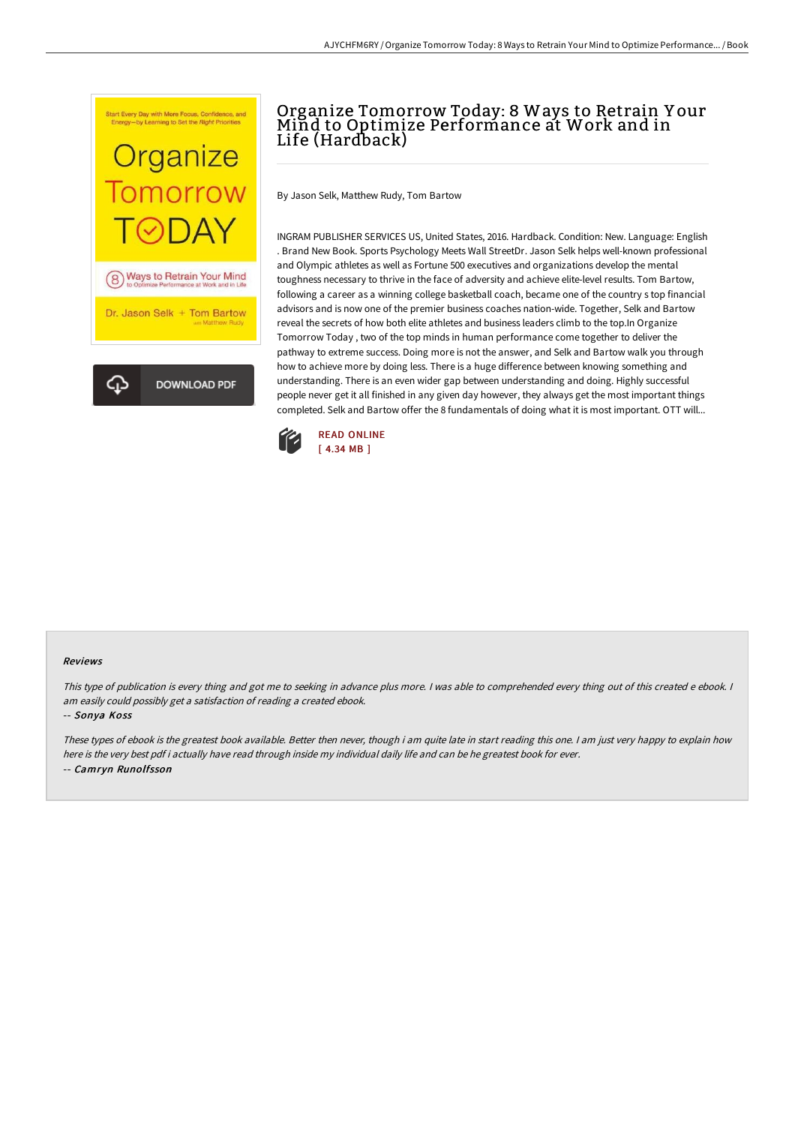

# Organize Tomorrow Today: 8 Ways to Retrain Y our Mind to Optimize Performance at Work and in Life (Hardback)

By Jason Selk, Matthew Rudy, Tom Bartow

INGRAM PUBLISHER SERVICES US, United States, 2016. Hardback. Condition: New. Language: English . Brand New Book. Sports Psychology Meets Wall StreetDr. Jason Selk helps well-known professional and Olympic athletes as well as Fortune 500 executives and organizations develop the mental toughness necessary to thrive in the face of adversity and achieve elite-level results. Tom Bartow, following a career as a winning college basketball coach, became one of the country s top financial advisors and is now one of the premier business coaches nation-wide. Together, Selk and Bartow reveal the secrets of how both elite athletes and business leaders climb to the top.In Organize Tomorrow Today , two of the top minds in human performance come together to deliver the pathway to extreme success. Doing more is not the answer, and Selk and Bartow walk you through how to achieve more by doing less. There is a huge difference between knowing something and understanding. There is an even wider gap between understanding and doing. Highly successful people never get it all finished in any given day however, they always get the most important things completed. Selk and Bartow offer the 8 fundamentals of doing what it is most important. OTT will...



#### Reviews

This type of publication is every thing and got me to seeking in advance plus more. I was able to comprehended every thing out of this created e ebook. I am easily could possibly get <sup>a</sup> satisfaction of reading <sup>a</sup> created ebook.

-- Sonya Koss

These types of ebook is the greatest book available. Better then never, though i am quite late in start reading this one. <sup>I</sup> am just very happy to explain how here is the very best pdf i actually have read through inside my individual daily life and can be he greatest book for ever. -- Camryn Runolfsson